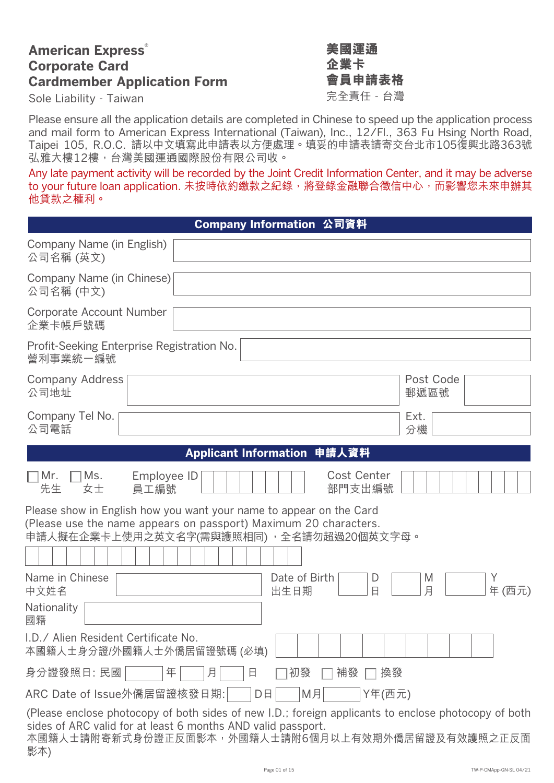# **American Express® Corporate Card Cardmember Application Form**

Sole Liability - Taiwan まちゃくらんなどのことをつくることを意任 - 台灣

# **美國運通 企業卡 會員申請表格**

Please ensure all the application details are completed in Chinese to speed up the application process and mail form to American Express International (Taiwan), Inc., 12/Fl., 363 Fu Hsing North Road, Taipei 105, R.O.C. 請以中文填寫此申請表以方便處理。填妥的申請表請寄交台北市105復興北路363號 弘雅大樓12樓,台灣美國運通國際股份有限公司收。

Any late payment activity will be recorded by the Joint Credit Information Center, and it may be adverse to your future loan application. 未按時依約繳款之紀錄,將登錄金融聯合徵信中心,而影響您未來申辦其 他貸款之權利。

| Company Information 公司資料                                                                                                                                                                                                        |
|---------------------------------------------------------------------------------------------------------------------------------------------------------------------------------------------------------------------------------|
| Company Name (in English)<br>公司名稱 (英文)                                                                                                                                                                                          |
| Company Name (in Chinese)<br>公司名稱 (中文)                                                                                                                                                                                          |
| <b>Corporate Account Number</b><br>企業卡帳戶號碼                                                                                                                                                                                      |
| Profit-Seeking Enterprise Registration No.<br>營利事業統一編號                                                                                                                                                                          |
| <b>Company Address</b><br>Post Code<br>公司地址<br>郵遞區號                                                                                                                                                                             |
| Company Tel No.<br>Ext.<br>公司電話<br>分機                                                                                                                                                                                           |
| Applicant Information 申請人資料                                                                                                                                                                                                     |
| <b>Cost Center</b><br>∏Mr.<br>Ms.<br>Employee ID<br>先生<br>女士<br>部門支出編號<br>員工編號                                                                                                                                                  |
| Please show in English how you want your name to appear on the Card<br>(Please use the name appears on passport) Maximum 20 characters.<br>申請人擬在企業卡上使用之英文名字(需與護照相同) ,全名請勿超過20個英文字母。                                             |
| Name in Chinese<br>Date of Birth<br>M<br>Y<br>D<br>月<br>年(西元)<br>中文姓名<br>出生日期<br>Β                                                                                                                                              |
| Nationality<br>國籍                                                                                                                                                                                                               |
| I.D./ Alien Resident Certificate No.<br>本國籍人士身分證/外國籍人士外僑居留證號碼 (必填)                                                                                                                                                              |
| 身分證發照日: 民國<br>年<br>月<br>初發<br>補發<br>日<br>換發                                                                                                                                                                                     |
| ARC Date of Issue外僑居留證核發日期:<br>M月<br>Y年(西元)<br>D日                                                                                                                                                                               |
| (Please enclose photocopy of both sides of new I.D.; foreign applicants to enclose photocopy of both<br>sides of ARC valid for at least 6 months AND valid passport.<br>本國籍人士請附寄新式身份證正反面影本,外國籍人士請附6個月以上有效期外僑居留證及有效護照之正反面<br>影本) |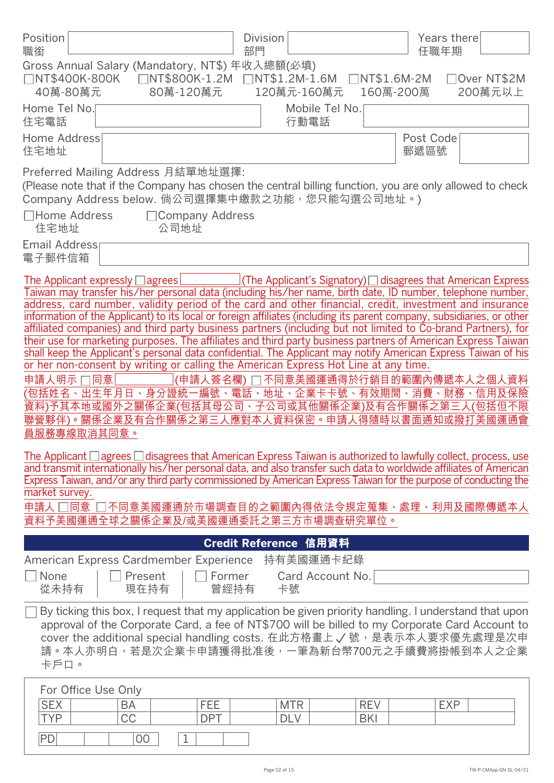| Position<br>職銜                                                                                                                                                                                                                                                                                                                                                                                                                                                                                                                                                                                                                                                                                                                                                                                                                                                                                                                                                                                                                                                                                                                                                                                                                                                                                                                                                                                                                                                                                                       | <b>Division</b><br>部門                                                                                      |                           | Years there<br>任職年期     |
|----------------------------------------------------------------------------------------------------------------------------------------------------------------------------------------------------------------------------------------------------------------------------------------------------------------------------------------------------------------------------------------------------------------------------------------------------------------------------------------------------------------------------------------------------------------------------------------------------------------------------------------------------------------------------------------------------------------------------------------------------------------------------------------------------------------------------------------------------------------------------------------------------------------------------------------------------------------------------------------------------------------------------------------------------------------------------------------------------------------------------------------------------------------------------------------------------------------------------------------------------------------------------------------------------------------------------------------------------------------------------------------------------------------------------------------------------------------------------------------------------------------------|------------------------------------------------------------------------------------------------------------|---------------------------|-------------------------|
| Gross Annual Salary (Mandatory, NT\$) 年收入總額(必填)<br>□NT\$400K-800K  □NT\$800K-1.2M  □NT\$1.2M-1.6M<br>40萬-80萬元<br>80萬-120萬元                                                                                                                                                                                                                                                                                                                                                                                                                                                                                                                                                                                                                                                                                                                                                                                                                                                                                                                                                                                                                                                                                                                                                                                                                                                                                                                                                                                           | 120萬元-160萬元                                                                                                | □NT\$1.6M-2M<br>160萬-200萬 | □Over NT\$2M<br>200萬元以上 |
| Home Tel No.<br>住宅電話                                                                                                                                                                                                                                                                                                                                                                                                                                                                                                                                                                                                                                                                                                                                                                                                                                                                                                                                                                                                                                                                                                                                                                                                                                                                                                                                                                                                                                                                                                 | Mobile Tel No.<br>行動電話                                                                                     |                           |                         |
| Home Address<br>住宅地址                                                                                                                                                                                                                                                                                                                                                                                                                                                                                                                                                                                                                                                                                                                                                                                                                                                                                                                                                                                                                                                                                                                                                                                                                                                                                                                                                                                                                                                                                                 |                                                                                                            | Post Code<br>郵遞區號         |                         |
| Preferred Mailing Address 月結單地址選擇:<br>(Please note that if the Company has chosen the central billing function, you are only allowed to check<br>Company Address below. 倘公司選擇集中繳款之功能, 您只能勾選公司地址。)                                                                                                                                                                                                                                                                                                                                                                                                                                                                                                                                                                                                                                                                                                                                                                                                                                                                                                                                                                                                                                                                                                                                                                                                                                                                                                                    |                                                                                                            |                           |                         |
| □Home Address<br>□ Company Address<br>公司地址<br>住宅地址                                                                                                                                                                                                                                                                                                                                                                                                                                                                                                                                                                                                                                                                                                                                                                                                                                                                                                                                                                                                                                                                                                                                                                                                                                                                                                                                                                                                                                                                   |                                                                                                            |                           |                         |
| Email Address<br>電子郵件信箱                                                                                                                                                                                                                                                                                                                                                                                                                                                                                                                                                                                                                                                                                                                                                                                                                                                                                                                                                                                                                                                                                                                                                                                                                                                                                                                                                                                                                                                                                              |                                                                                                            |                           |                         |
| The Applicant expressly $\Box$ agrees<br>Taiwan may transfer his/her personal data (including his/her name, birth date, ID number, telephone number,<br>address, card number, validity period of the card and other financial, credit, investment and insurance<br>information of the Applicant) to its local or foreign affiliates (including its parent company, subsidiaries, or other<br>affiliated companies) and third party business partners (including but not limited to Co-brand Partners), for<br>their use for marketing purposes. The affiliates and third party business partners of American Express Taiwan<br>shall keep the Applicant's personal data confidential. The Applicant may notify American Express Taiwan of his<br>or her non-consent by writing or calling the American Express Hot Line at any time.<br>申請人明示 口同意<br>(包括姓名、出生年月日、身分證統一編號、電話、地址、企業卡卡號、有效期間、消費、財務、信用及保險<br>資料)予其本地或國外之關係企業(包括其母公司、子公司或其他關係企業)及有合作關係之第三人(包括但不限<br>聯營夥伴)。關係企業及有合作關係之第三人應對本人資料保密。申請人得隨時以書面通知或撥打美國運通會<br>員服務專線取消其同意。<br>The Applicant $\Box$ agrees $\Box$ disagrees that American Express Taiwan is authorized to lawfully collect, process, use<br>and transmit internationally his/her personal data, and also transfer such data to worldwide affiliates of American<br>Express Taiwan, and/or any third party commissioned by American Express Taiwan for the purpose of conducting the<br>market survey.<br>申請人 □同意 □不同意美國運通於市場調查目的之範圍內得依法令規定蒐集、處理、利用及國際傳遞本人<br>資料予美國運通全球之關係企業及/或美國運通委託之第三方市場調查研究單位。 | (The Applicant's Signatory) $\Box$ disagrees that American Express<br>(申請人簽名欄) □ 不同意美國運通得於行銷目的範圍內傳遞本人之個人資料 |                           |                         |
|                                                                                                                                                                                                                                                                                                                                                                                                                                                                                                                                                                                                                                                                                                                                                                                                                                                                                                                                                                                                                                                                                                                                                                                                                                                                                                                                                                                                                                                                                                                      | Credit Reference 信用資料                                                                                      |                           |                         |
| American Express Cardmember Experience<br>None<br>Present<br>從未持有<br>現在持有                                                                                                                                                                                                                                                                                                                                                                                                                                                                                                                                                                                                                                                                                                                                                                                                                                                                                                                                                                                                                                                                                                                                                                                                                                                                                                                                                                                                                                            | 持有美國運通卡紀錄<br>Card Account No.<br>Former<br>曾經持有<br>卡號                                                      |                           |                         |
| By ticking this box, I request that my application be given priority handling. I understand that upon<br>approval of the Corporate Card, a fee of NT\$700 will be billed to my Corporate Card Account to<br>cover the additional special handling costs. 在此方格畫上√號, 是表示本人要求優先處理是次申<br>請。本人亦明白, 若是次企業卡申請獲得批准後, 一筆為新台幣700元之手續費將掛帳到本人之企業<br>卡戶口。                                                                                                                                                                                                                                                                                                                                                                                                                                                                                                                                                                                                                                                                                                                                                                                                                                                                                                                                                                                                                                                                                                                                                                         |                                                                                                            |                           |                         |
| For Office Use Only<br><b>SEX</b><br>FEE<br>BA<br><b>CC</b><br><b>DPT</b><br><b>TYP</b><br>PD<br>00<br>1                                                                                                                                                                                                                                                                                                                                                                                                                                                                                                                                                                                                                                                                                                                                                                                                                                                                                                                                                                                                                                                                                                                                                                                                                                                                                                                                                                                                             | <b>MTR</b><br><b>DLV</b>                                                                                   | <b>REV</b><br><b>BKI</b>  | <b>EXP</b>              |
|                                                                                                                                                                                                                                                                                                                                                                                                                                                                                                                                                                                                                                                                                                                                                                                                                                                                                                                                                                                                                                                                                                                                                                                                                                                                                                                                                                                                                                                                                                                      | Page 02 of 15                                                                                              |                           | TW-P-CMApp-GN-SL 04/21  |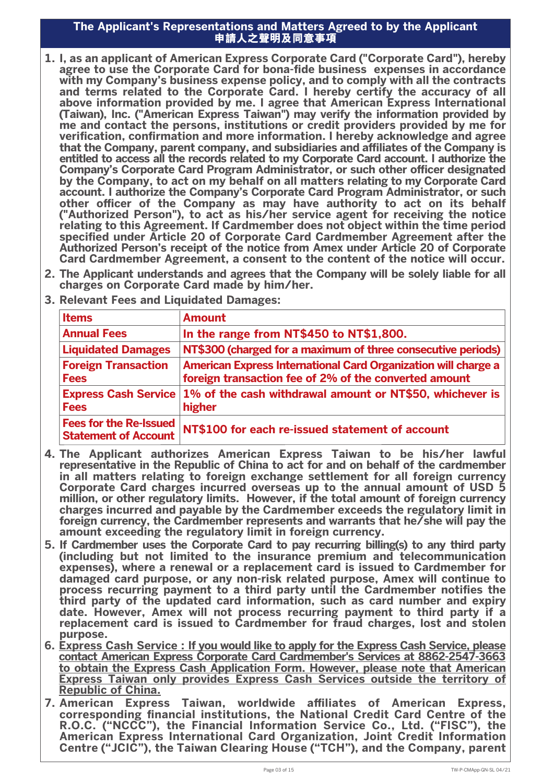#### **The Applicant's Representations and Matters Agreed to by the Applicant 申請人之聲明及同意事項**

- **1. I, as an applicant of American Express Corporate Card ("Corporate Card"), hereby agree to use the Corporate Card for bona-fide business expenses in accordance with my Company's business expense policy, and to comply with all the contracts and terms related to the Corporate Card. I hereby certify the accuracy of all above information provided by me. I agree that American Express International (Taiwan), Inc. ("American Express Taiwan") may verify the information provided by me and contact the persons, institutions or credit providers provided by me for verication, conrmation and more information. I hereby acknowledge and agree** that the Company, parent company, and subsidiaries and affiliates of the Company is **entitled to access all the records related to my Corporate Card account. I authorize the Company's Corporate Card Program Administrator, or such other officer designated by the Company, to act on my behalf on all matters relating to my Corporate Card account. I authorize the Company's Corporate Card Program Administrator, or such**  other officer of the Company as may have authority to act on its behalf **("Authorized Person"), to act as his/her service agent for receiving the notice relating to this Agreement. If Cardmember does not object within the time period**  specified under Article 20 of Corporate Card Cardmember Agreement after the **Authorized Person's receipt of the notice from Amex under Article 20 of Corporate Card Cardmember Agreement, a consent to the content of the notice will occur.**
- **2. The Applicant understands and agrees that the Company will be solely liable for all charges on Corporate Card made by him/her.**
- **3. Relevant Fees and Liquidated Damages:**

| <b>Items</b>                                                 | <b>Amount</b>                                                                                                                  |
|--------------------------------------------------------------|--------------------------------------------------------------------------------------------------------------------------------|
| <b>Annual Fees</b>                                           | In the range from NT\$450 to NT\$1,800.                                                                                        |
| <b>Liquidated Damages</b>                                    | NT\$300 (charged for a maximum of three consecutive periods)                                                                   |
| <b>Foreign Transaction</b><br><b>Fees</b>                    | <b>American Express International Card Organization will charge a</b><br>foreign transaction fee of 2% of the converted amount |
| <b>Express Cash Service</b><br><b>Fees</b>                   | 1% of the cash withdrawal amount or NT\$50, whichever is<br>higher                                                             |
| <b>Fees for the Re-Issued</b><br><b>Statement of Account</b> | NT\$100 for each re-issued statement of account                                                                                |

- **4. The Applicant authorizes American Express Taiwan to be his/her lawful representative in the Republic of China to act for and on behalf of the cardmember in all matters relating to foreign exchange settlement for all foreign currency Corporate Card charges incurred overseas up to the annual amount of USD 5 million, or other regulatory limits. However, if the total amount of foreign currency charges incurred and payable by the Cardmember exceeds the regulatory limit in foreign currency, the Cardmember represents and warrants that he/she will pay the amount exceeding the regulatory limit in foreign currency.**
- **5. If Cardmember uses the Corporate Card to pay recurring billing(s) to any third party (including but not limited to the insurance premium and telecommunication expenses), where a renewal or a replacement card is issued to Cardmember for damaged card purpose, or any non-risk related purpose, Amex will continue to**  process recurring payment to a third party until the Cardmember notifies the **third party of the updated card information, such as card number and expiry date. However, Amex will not process recurring payment to third party if a replacement card is issued to Cardmember for fraud charges, lost and stolen purpose.**
- **6. Express Cash Service : If you would like to apply for the Express Cash Service, please contact American Express Corporate Card Cardmember's Services at 8862-2547-3663 to obtain the Express Cash Application Form. However, please note that American Express Taiwan only provides Express Cash Services outside the territory of Republic of China.**
- **7. American Express Taiwan, worldwide affiliates of American Express,** corresponding financial institutions, the National Credit Card Centre of the **R.O.C. ("NCCC"), the Financial Information Service Co., Ltd. ("FISC"), the American Express International Card Organization, Joint Credit Information Centre ("JCIC"), the Taiwan Clearing House ("TCH"), and the Company, parent**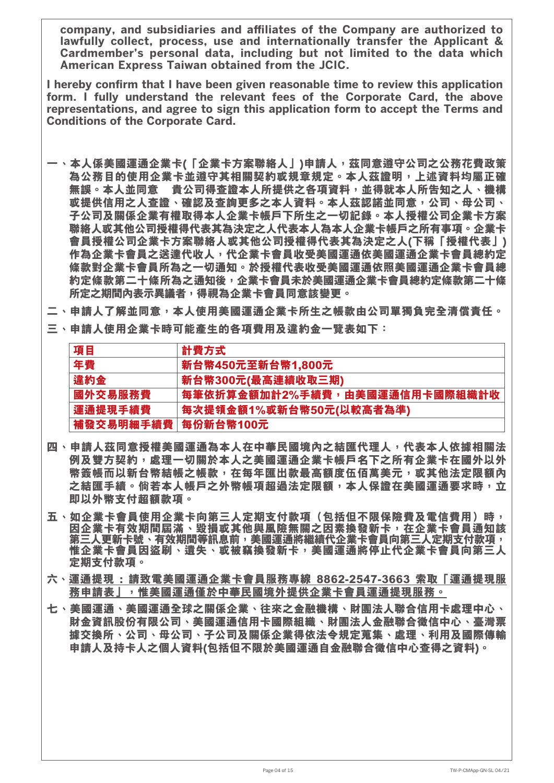company, and subsidiaries and affiliates of the Company are authorized to **lawfully collect, process, use and internationally transfer the Applicant & Cardmember's personal data, including but not limited to the data which American Express Taiwan obtained from the JCIC.**

I hereby confirm that I have been given reasonable time to review this application **form. I fully understand the relevant fees of the Corporate Card, the above representations, and agree to sign this application form to accept the Terms and Conditions of the Corporate Card.**

- 一、本人係美國運通企業卡(「企業卡方案聯絡人」)申請人,茲同意遵守公司之公務花費政策 **為公務目的使用企業卡並遵守其相關契約或規章規定。本人茲證明,上述資料均屬正確 無誤。本人並同意 貴公司得查證本人所提供之各項資料,並得就本人所告知之人、機構 或提供信用之人查證、確認及查詢更多之本人資料。本人茲認諾並同意,公司、母公司、 子公司及關係企業有權取得本人企業卡帳戶下所生之一切記錄。本人授權公司企業卡方案 聯絡人或其他公司授權得代表其為決定之人代表本人為本人企業卡帳戶之所有事項。企業卡 會員授權公司企業卡方案聯絡人或其他公司授權得代表其為決定之人(下稱「授權代表」)** 作為企業卡會員之送達代收人,代企業卡會員收受美國運通依美國運通企業卡會員總約定 **條款對企業卡會員所為之一切通知。於授權代表收受美國運通依照美國運通企業卡會員總 約定條款第二十條所為之通知後,企業卡會員未於美國運通企業卡會員總約定條款第二十條 所定之期間內表示異議者,得視為企業卡會員同意該變更。**
- **二、申請人了解並同意,本人使用美國運通企業卡所生之帳款由公司單獨負完全清償責任。**
- **三、申請人使用企業卡時可能產生的各項費用及違約金一覽表如下:**

| 項目        | 計費方式                          |
|-----------|-------------------------------|
| 年費        | 新台幣450元至新台幣1,800元             |
| 違約金       | 新台幣300元(最高連續收取三期)             |
| 國外交易服務費   | 每筆依折算金額加計2%手續費,由美國運通信用卡國際組織計收 |
| 運通提現手續費   | 每次提領金額1%或新台幣50元(以較高者為準)       |
| 補發交易明細手續費 | 每份新台幣100元                     |

- **四、申請人茲同意授權美國運通為本人在中華民國境內之結匯代理人,代表本人依據相關法 例及雙方契約,處理一切關於本人之美國運通企業卡帳戶名下之所有企業卡在國外以外 幣簽帳而以新台幣結帳之帳款,在每年匯出款最高額度伍佰萬美元,或其他法定限額內 之結匯手續。倘若本人帳戶之外幣帳項超過法定限額,本人保證在美國運通要求時,立 即以外幣支付超額款項。**
- 五 **、如企業卡會員使用企業卡向第三人定期支付款項(包括但不限保險費及電信費用**)時, 因企業卡有效期間屆滿、毀損或其他與風險無關之因素換發新卡,在企業卡會員通知該 **第三人更新卡號、有效期間等訊息前,美國運通將繼續代企業卡會員向第三人定期支付款項, 惟企業卡會員因盜刷、遺失、或被竊換發新卡,美國運通將停止代企業卡會員向第三人 定期支付款項。**
- **六、運通提現 : 請致電美國運通企業卡會員服務專線 8862-2547-3663 索取「運通提現服 務申請表」,惟美國運通僅於中華民國境外提供企業卡會員運通提現服務。**
- **七、美國運通、美國運通全球之關係企業、往來之金融機構、財團法人聯合信用卡處理中心、 財金資訊股份有限公司、美國運通信用卡國際組織、財團法人金融聯合徵信中心、臺灣票 據交換所、公司、母公司、子公司及關係企業得依法令規定蒐集、處理、利用及國際傳輸 申請人及持卡人之個人資料(包括但不限於美國運通自金融聯合徵信中心查得之資料)。**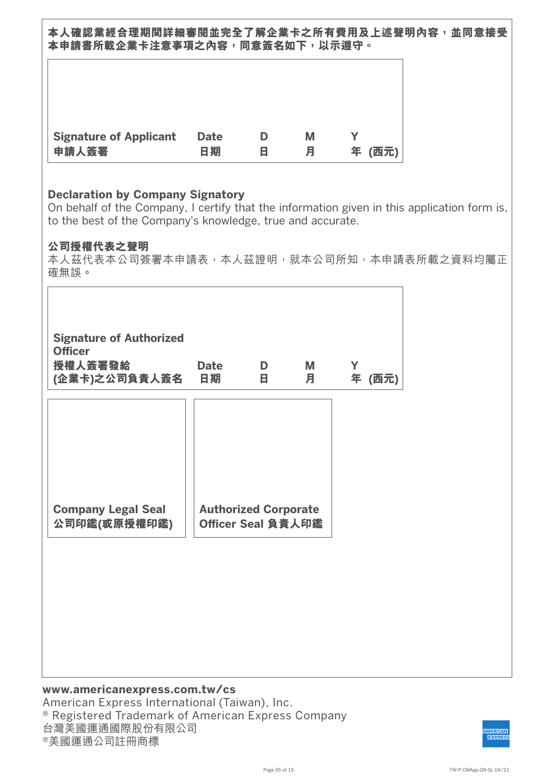**本人確認業經合理期間詳細審閱並完全了解企業卡之所有費用及上述聲明內容,並同意接受** 本申請書所載企業卡注意事項之內容,同意簽名如下,以示**遵守。** 

| <b>Signature of Applicant</b> | <b>Date</b> | D | Μ | (西元) |
|-------------------------------|-------------|---|---|------|
| 申請人簽署                         | 日期          | Ħ | 月 | 年    |

## **Declaration by Company Signatory**

On behalf of the Company, I certify that the information given in this application form is, to the best of the Company's knowledge, true and accurate.

## **公司授權代表之聲明**

本人茲代表本公司簽署本申請表,本人茲證明,就本公司所知,本申請表所載之資料均屬正 確無誤。

| <b>Signature of Authorized</b><br><b>Officer</b><br>授權人簽署發給<br>(企業卡)之公司負責人簽名 | <b>Date</b><br>日期           | D<br>в | M<br>月 | Y<br>年 (西元) |  |
|------------------------------------------------------------------------------|-----------------------------|--------|--------|-------------|--|
| <b>Company Legal Seal</b>                                                    | <b>Authorized Corporate</b> |        |        |             |  |
| 公司印鑑(或原授權印鑑)                                                                 | Officer Seal 負責人印鑑          |        |        |             |  |
|                                                                              |                             |        |        |             |  |

## **www.americanexpress.com.tw/cs** American Express International (Taiwan), Inc. ® Registered Trademark of American Express Company 台灣美國運通國際股份有限公司 ®美國運通公司註冊商標

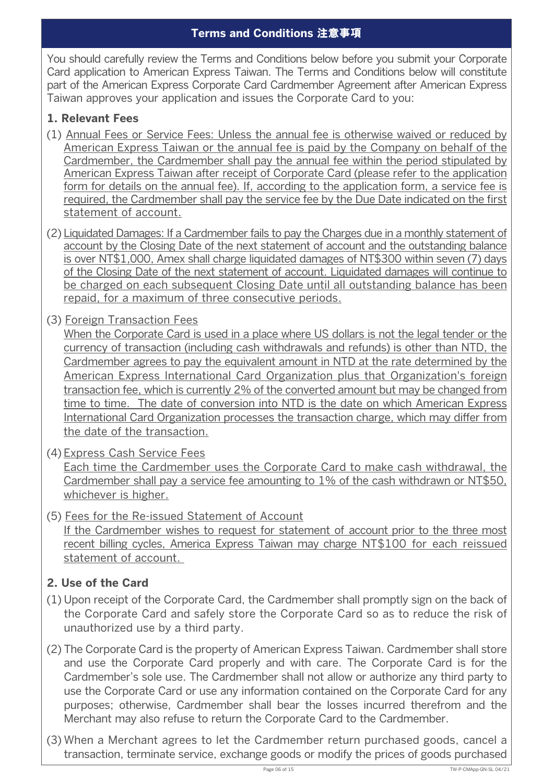You should carefully review the Terms and Conditions below before you submit your Corporate Card application to American Express Taiwan. The Terms and Conditions below will constitute part of the American Express Corporate Card Cardmember Agreement after American Express Taiwan approves your application and issues the Corporate Card to you:

# **1. Relevant Fees**

- (1) Annual Fees or Service Fees: Unless the annual fee is otherwise waived or reduced by American Express Taiwan or the annual fee is paid by the Company on behalf of the Cardmember, the Cardmember shall pay the annual fee within the period stipulated by American Express Taiwan after receipt of Corporate Card (please refer to the application form for details on the annual fee). If, according to the application form, a service fee is required, the Cardmember shall pay the service fee by the Due Date indicated on the first statement of account.
- (2) Liquidated Damages: If a Cardmember fails to pay the Charges due in a monthly statement of account by the Closing Date of the next statement of account and the outstanding balance is over NT\$1,000, Amex shall charge liquidated damages of NT\$300 within seven (7) days of the Closing Date of the next statement of account. Liquidated damages will continue to be charged on each subsequent Closing Date until all outstanding balance has been repaid, for a maximum of three consecutive periods.
- (3) Foreign Transaction Fees

When the Corporate Card is used in a place where US dollars is not the legal tender or the currency of transaction (including cash withdrawals and refunds) is other than NTD, the Cardmember agrees to pay the equivalent amount in NTD at the rate determined by the American Express International Card Organization plus that Organization's foreign transaction fee, which is currently 2% of the converted amount but may be changed from time to time. The date of conversion into NTD is the date on which American Express International Card Organization processes the transaction charge, which may differ from the date of the transaction.

- (4) Express Cash Service Fees Each time the Cardmember uses the Corporate Card to make cash withdrawal, the Cardmember shall pay a service fee amounting to 1% of the cash withdrawn or NT\$50, whichever is higher.
- (5) Fees for the Re-issued Statement of Account If the Cardmember wishes to request for statement of account prior to the three most recent billing cycles, America Express Taiwan may charge NT\$100 for each reissued statement of account.

# **2. Use of the Card**

- (1) Upon receipt of the Corporate Card, the Cardmember shall promptly sign on the back of the Corporate Card and safely store the Corporate Card so as to reduce the risk of unauthorized use by a third party.
- (2) The Corporate Card is the property of American Express Taiwan. Cardmember shall store and use the Corporate Card properly and with care. The Corporate Card is for the Cardmember's sole use. The Cardmember shall not allow or authorize any third party to use the Corporate Card or use any information contained on the Corporate Card for any purposes; otherwise, Cardmember shall bear the losses incurred therefrom and the Merchant may also refuse to return the Corporate Card to the Cardmember.
- (3) When a Merchant agrees to let the Cardmember return purchased goods, cancel a transaction, terminate service, exchange goods or modify the prices of goods purchased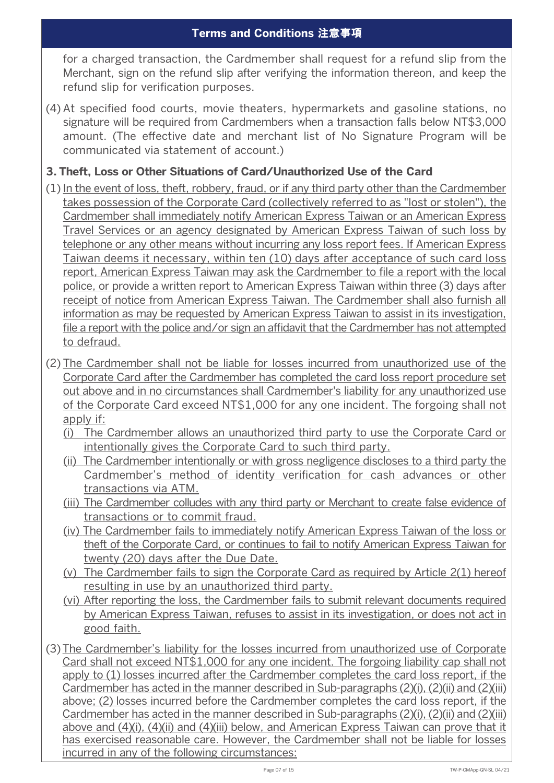for a charged transaction, the Cardmember shall request for a refund slip from the Merchant, sign on the refund slip after verifying the information thereon, and keep the refund slip for verification purposes.

(4) At specified food courts, movie theaters, hypermarkets and gasoline stations, no signature will be required from Cardmembers when a transaction falls below NT\$3,000 amount. (The effective date and merchant list of No Signature Program will be communicated via statement of account.)

# **3. Theft, Loss or Other Situations of Card/Unauthorized Use of the Card**

- (1) In the event of loss, theft, robbery, fraud, or if any third party other than the Cardmember takes possession of the Corporate Card (collectively referred to as "lost or stolen"), the Cardmember shall immediately notify American Express Taiwan or an American Express Travel Services or an agency designated by American Express Taiwan of such loss by telephone or any other means without incurring any loss report fees. If American Express Taiwan deems it necessary, within ten (10) days after acceptance of such card loss report, American Express Taiwan may ask the Cardmember to file a report with the local police, or provide a written report to American Express Taiwan within three (3) days after receipt of notice from American Express Taiwan. The Cardmember shall also furnish all information as may be requested by American Express Taiwan to assist in its investigation, file a report with the police and/or sign an affidavit that the Cardmember has not attempted to defraud.
- (2) The Cardmember shall not be liable for losses incurred from unauthorized use of the Corporate Card after the Cardmember has completed the card loss report procedure set out above and in no circumstances shall Cardmember's liability for any unauthorized use of the Corporate Card exceed NT\$1,000 for any one incident. The forgoing shall not apply if:
	- (i) The Cardmember allows an unauthorized third party to use the Corporate Card or intentionally gives the Corporate Card to such third party.
	- (ii) The Cardmember intentionally or with gross negligence discloses to a third party the Cardmember's method of identity verification for cash advances or other transactions via ATM.
	- (iii) The Cardmember colludes with any third party or Merchant to create false evidence of transactions or to commit fraud.
	- (iv) The Cardmember fails to immediately notify American Express Taiwan of the loss or theft of the Corporate Card, or continues to fail to notify American Express Taiwan for twenty (20) days after the Due Date.
	- (v) The Cardmember fails to sign the Corporate Card as required by Article 2(1) hereof resulting in use by an unauthorized third party.
	- (vi) After reporting the loss, the Cardmember fails to submit relevant documents required by American Express Taiwan, refuses to assist in its investigation, or does not act in good faith.
- (3) The Cardmember's liability for the losses incurred from unauthorized use of Corporate Card shall not exceed NT\$1,000 for any one incident. The forgoing liability cap shall not apply to (1) losses incurred after the Cardmember completes the card loss report, if the Cardmember has acted in the manner described in Sub-paragraphs (2)(i), (2)(ii) and (2)(iii) above; (2) losses incurred before the Cardmember completes the card loss report, if the Cardmember has acted in the manner described in Sub-paragraphs (2)(i), (2)(ii) and (2)(iii) above and (4)(i), (4)(ii) and (4)(iii) below, and American Express Taiwan can prove that it has exercised reasonable care. However, the Cardmember shall not be liable for losses incurred in any of the following circumstances: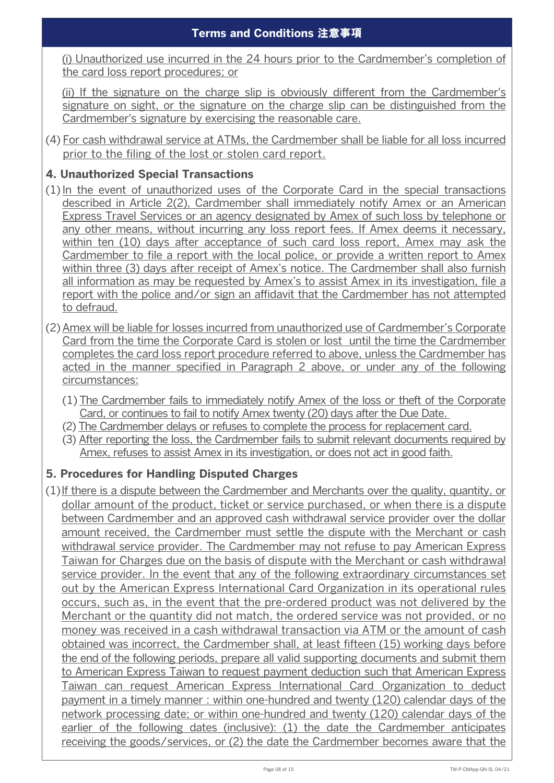(i) Unauthorized use incurred in the 24 hours prior to the Cardmember's completion of the card loss report procedures; or

(ii) If the signature on the charge slip is obviously different from the Cardmember's signature on sight, or the signature on the charge slip can be distinguished from the Cardmember's signature by exercising the reasonable care.

(4) For cash withdrawal service at ATMs, the Cardmember shall be liable for all loss incurred prior to the filing of the lost or stolen card report.

# **4. Unauthorized Special Transactions**

- (1) In the event of unauthorized uses of the Corporate Card in the special transactions described in Article 2(2), Cardmember shall immediately notify Amex or an American Express Travel Services or an agency designated by Amex of such loss by telephone or any other means, without incurring any loss report fees. If Amex deems it necessary, within ten (10) days after acceptance of such card loss report, Amex may ask the Cardmember to file a report with the local police, or provide a written report to Amex within three (3) days after receipt of Amex's notice. The Cardmember shall also furnish all information as may be requested by Amex's to assist Amex in its investigation, file a report with the police and/or sign an affidavit that the Cardmember has not attempted to defraud.
- (2) Amex will be liable for losses incurred from unauthorized use of Cardmember's Corporate Card from the time the Corporate Card is stolen or lost until the time the Cardmember completes the card loss report procedure referred to above, unless the Cardmember has acted in the manner specified in Paragraph 2 above, or under any of the following circumstances:
	- (1) The Cardmember fails to immediately notify Amex of the loss or theft of the Corporate Card, or continues to fail to notify Amex twenty (20) days after the Due Date.
	- (2) The Cardmember delays or refuses to complete the process for replacement card.
	- (3) After reporting the loss, the Cardmember fails to submit relevant documents required by Amex, refuses to assist Amex in its investigation, or does not act in good faith.

# **5. Procedures for Handling Disputed Charges**

(1) If there is a dispute between the Cardmember and Merchants over the quality, quantity, or dollar amount of the product, ticket or service purchased, or when there is a dispute between Cardmember and an approved cash withdrawal service provider over the dollar amount received, the Cardmember must settle the dispute with the Merchant or cash withdrawal service provider. The Cardmember may not refuse to pay American Express Taiwan for Charges due on the basis of dispute with the Merchant or cash withdrawal service provider. In the event that any of the following extraordinary circumstances set out by the American Express International Card Organization in its operational rules occurs, such as, in the event that the pre-ordered product was not delivered by the Merchant or the quantity did not match, the ordered service was not provided, or no money was received in a cash withdrawal transaction via ATM or the amount of cash obtained was incorrect, the Cardmember shall, at least fifteen (15) working days before the end of the following periods, prepare all valid supporting documents and submit them to American Express Taiwan to request payment deduction such that American Express Taiwan can request American Express International Card Organization to deduct payment in a timely manner : within one-hundred and twenty (120) calendar days of the network processing date; or within one-hundred and twenty (120) calendar days of the earlier of the following dates (inclusive): (1) the date the Cardmember anticipates receiving the goods/services, or (2) the date the Cardmember becomes aware that the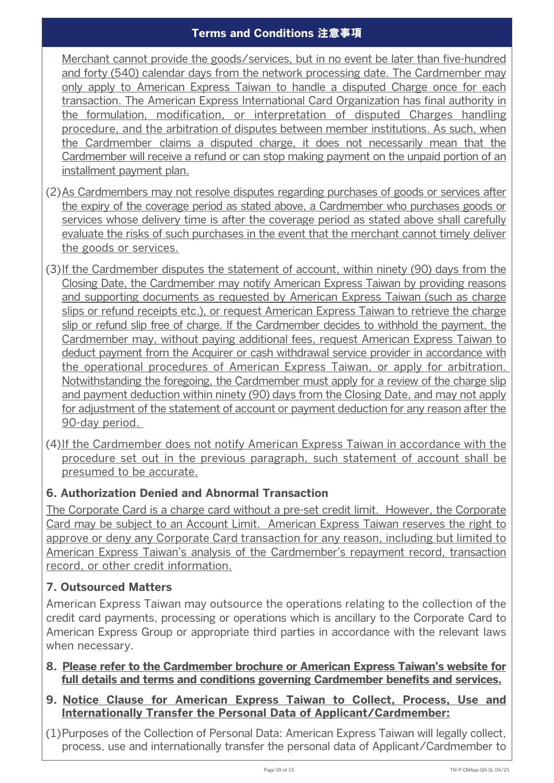Merchant cannot provide the goods/services, but in no event be later than five-hundred and forty (540) calendar days from the network processing date. The Cardmember may only apply to American Express Taiwan to handle a disputed Charge once for each transaction. The American Express International Card Organization has final authority in the formulation, modification, or interpretation of disputed Charges handling procedure, and the arbitration of disputes between member institutions. As such, when the Cardmember claims a disputed charge, it does not necessarily mean that the Cardmember will receive a refund or can stop making payment on the unpaid portion of an installment payment plan.

- (2) As Cardmembers may not resolve disputes regarding purchases of goods or services after the expiry of the coverage period as stated above, a Cardmember who purchases goods or services whose delivery time is after the coverage period as stated above shall carefully evaluate the risks of such purchases in the event that the merchant cannot timely deliver the goods or services.
- (3) If the Cardmember disputes the statement of account, within ninety (90) days from the Closing Date, the Cardmember may notify American Express Taiwan by providing reasons and supporting documents as requested by American Express Taiwan (such as charge slips or refund receipts etc.), or request American Express Taiwan to retrieve the charge slip or refund slip free of charge. If the Cardmember decides to withhold the payment, the Cardmember may, without paying additional fees, request American Express Taiwan to deduct payment from the Acquirer or cash withdrawal service provider in accordance with the operational procedures of American Express Taiwan, or apply for arbitration. Notwithstanding the foregoing, the Cardmember must apply for a review of the charge slip and payment deduction within ninety (90) days from the Closing Date, and may not apply for adjustment of the statement of account or payment deduction for any reason after the 90-day period.
- (4) If the Cardmember does not notify American Express Taiwan in accordance with the procedure set out in the previous paragraph, such statement of account shall be presumed to be accurate.

# **6. Authorization Denied and Abnormal Transaction**

The Corporate Card is a charge card without a pre-set credit limit. However, the Corporate Card may be subject to an Account Limit. American Express Taiwan reserves the right to approve or deny any Corporate Card transaction for any reason, including but limited to American Express Taiwan's analysis of the Cardmember's repayment record, transaction record, or other credit information.

# **7. Outsourced Matters**

American Express Taiwan may outsource the operations relating to the collection of the credit card payments, processing or operations which is ancillary to the Corporate Card to American Express Group or appropriate third parties in accordance with the relevant laws when necessary.

- **8. Please refer to the Cardmember brochure or American Express Taiwan's website for** full details and terms and conditions governing Cardmember benefits and services.
- **9. Notice Clause for American Express Taiwan to Collect, Process, Use and Internationally Transfer the Personal Data of Applicant/Cardmember:**

(1)Purposes of the Collection of Personal Data: American Express Taiwan will legally collect, process, use and internationally transfer the personal data of Applicant/Cardmember to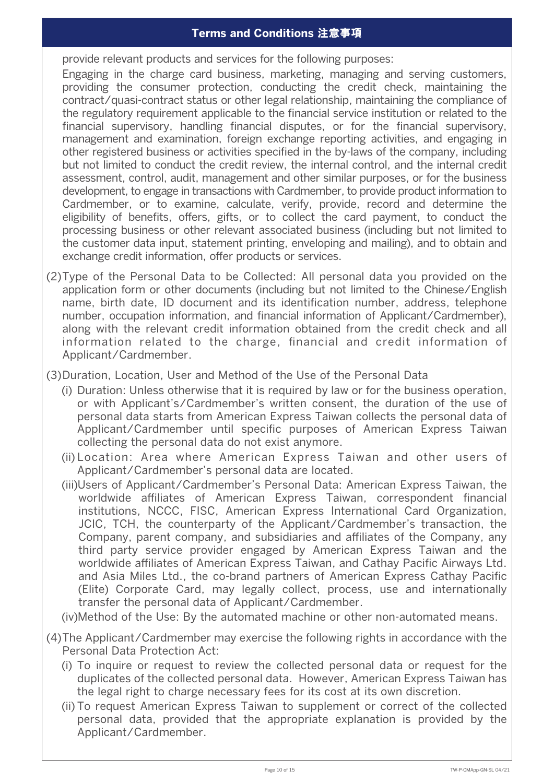provide relevant products and services for the following purposes:

 Engaging in the charge card business, marketing, managing and serving customers, providing the consumer protection, conducting the credit check, maintaining the contract/quasi-contract status or other legal relationship, maintaining the compliance of the regulatory requirement applicable to the financial service institution or related to the financial supervisory, handling financial disputes, or for the financial supervisory, management and examination, foreign exchange reporting activities, and engaging in other registered business or activities specified in the by-laws of the company, including but not limited to conduct the credit review, the internal control, and the internal credit assessment, control, audit, management and other similar purposes, or for the business development, to engage in transactions with Cardmember, to provide product information to Cardmember, or to examine, calculate, verify, provide, record and determine the eligibility of benefits, offers, gifts, or to collect the card payment, to conduct the processing business or other relevant associated business (including but not limited to the customer data input, statement printing, enveloping and mailing), and to obtain and exchange credit information, offer products or services.

- (2) Type of the Personal Data to be Collected: All personal data you provided on the application form or other documents (including but not limited to the Chinese/English name, birth date, ID document and its identification number, address, telephone number, occupation information, and financial information of Applicant/Cardmember), along with the relevant credit information obtained from the credit check and all information related to the charge, financial and credit information of Applicant/Cardmember.
- (3) Duration, Location, User and Method of the Use of the Personal Data
	- (i) Duration: Unless otherwise that it is required by law or for the business operation, or with Applicant's/Cardmember's written consent, the duration of the use of personal data starts from American Express Taiwan collects the personal data of Applicant/Cardmember until specific purposes of American Express Taiwan collecting the personal data do not exist anymore.
	- (ii) Location: Area where American Express Taiwan and other users of Applicant/Cardmember's personal data are located.
	- (iii)Users of Applicant/Cardmember's Personal Data: American Express Taiwan, the worldwide affiliates of American Express Taiwan, correspondent financial institutions, NCCC, FISC, American Express International Card Organization, JCIC, TCH, the counterparty of the Applicant/Cardmember's transaction, the Company, parent company, and subsidiaries and affiliates of the Company, any third party service provider engaged by American Express Taiwan and the worldwide affiliates of American Express Taiwan, and Cathay Pacific Airways Ltd. and Asia Miles Ltd., the co-brand partners of American Express Cathay Pacific (Elite) Corporate Card, may legally collect, process, use and internationally transfer the personal data of Applicant/Cardmember.

(iv)Method of the Use: By the automated machine or other non-automated means.

- (4) The Applicant/Cardmember may exercise the following rights in accordance with the Personal Data Protection Act:
	- (i) To inquire or request to review the collected personal data or request for the duplicates of the collected personal data. However, American Express Taiwan has the legal right to charge necessary fees for its cost at its own discretion.
	- (ii) To request American Express Taiwan to supplement or correct of the collected personal data, provided that the appropriate explanation is provided by the Applicant/Cardmember.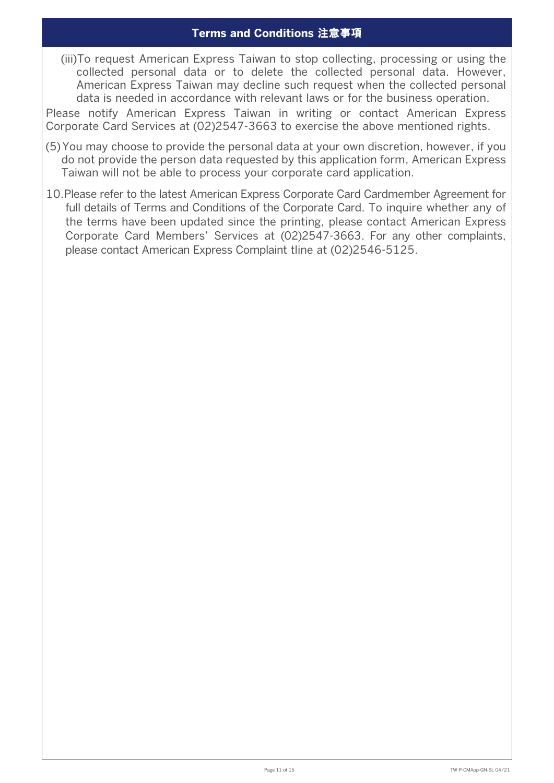(iii) To request American Express Taiwan to stop collecting, processing or using the collected personal data or to delete the collected personal data. However, American Express Taiwan may decline such request when the collected personal data is needed in accordance with relevant laws or for the business operation.

Please notify American Express Taiwan in writing or contact American Express Corporate Card Services at (02)2547-3663 to exercise the above mentioned rights.

- (5) You may choose to provide the personal data at your own discretion, however, if you do not provide the person data requested by this application form, American Express Taiwan will not be able to process your corporate card application.
- 10.Please refer to the latest American Express Corporate Card Cardmember Agreement for full details of Terms and Conditions of the Corporate Card. To inquire whether any of the terms have been updated since the printing, please contact American Express Corporate Card Members' Services at (02)2547-3663. For any other complaints, please contact American Express Complaint tline at (02)2546-5125.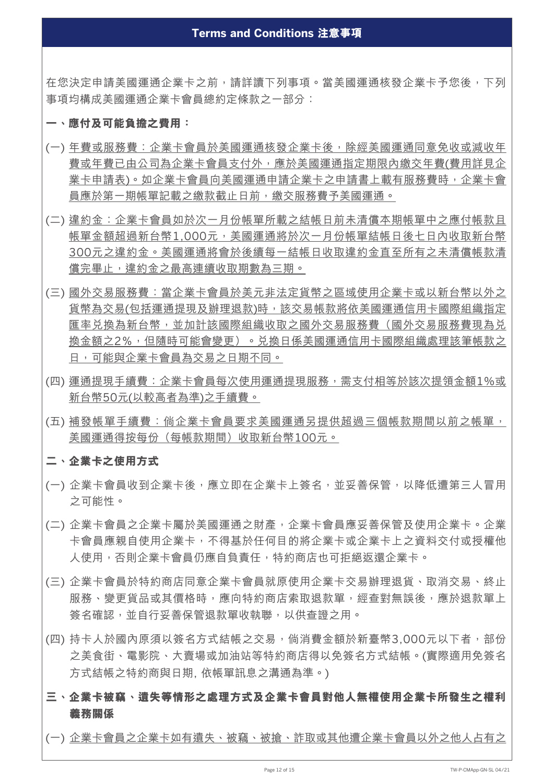在您決定申請美國運通企業卡之前,請詳讀下列事項。當美國運通核發企業卡予您後,下列 事項均構成美國運通企業卡會員總約定條款之一部分:

#### **一、應付及可能負擔之費用:**

- (一) 年費或服務費:企業卡會員於美國運通核發企業卡後,除經美國運通同意免收或減收年 費或年費已由公司為企業卡會員支付外,應於美國運通指定期限內繳交年費(費用詳見企 業卡申請表)。如企業卡會員向美國運通申請企業卡之申請書上載有服務費時,企業卡會 員應於第一期帳單記載之繳款截止日前,繳交服務費予美國運通。
- (二) 違約金:企業卡會員如於次一月份帳單所載之結帳日前未清償本期帳單中之應付帳款且 帳單金額超過新台幣1,000元,美國運通將於次一月份帳單結帳日後七日內收取新台幣 300元之違約金。美國運通將會於後續每一結帳日收取違約金直至所有之未清償帳款清 償完畢止,違約金之最高連續收取期數為三期。
- (三) 國外交易服務費:當企業卡會員於美元非法定貨幣之區域使用企業卡或以新台幣以外之 貨幣為交易(包括運通提現及辦理退款)時,該交易帳款將依美國運通信用卡國際組織指定 匯率兑換為新台幣,並加計該國際組織收取之國外交易服務費(國外交易服務費現為兑 換金額之2%,但隨時可能會變更)。兌換日係美國運通信用卡國際組織處理該筆帳款之 日,可能與企業卡會員為交易之日期不同。
- (四) 運通提現手續費:企業卡會員每次使用運通提現服務,需支付相等於該次提領金額1%或 新台幣50元(以較高者為準)之手續費。
- (五) 補發帳單手續費:倘企業卡會員要求美國運通另提供超過三個帳款期間以前之帳單, 美國運通得按每份(每帳款期間)收取新台幣100元。

## **二、 企業卡之使用方式**

- (一) 企業卡會員收到企業卡後,應立即在企業卡上簽名,並妥善保管,以降低遭第三人冒用 之可能性。
- (二) 企業卡會員之企業卡屬於美國運通之財產,企業卡會員應妥善保管及使用企業卡。企業 卡會員應親自使用企業卡,不得基於任何目的將企業卡或企業卡上之資料交付或授權他 人使用,否則企業卡會員仍應自負責任,特約商店也可拒絕返還企業卡。
- (三) 企業卡會員於特約商店同意企業卡會員就原使用企業卡交易辦理退貨、取消交易、終止 服務、變更貨品或其價格時,應向特約商店索取退款單,經查對無誤後,應於退款單上 簽名確認,並自行妥善保管退款單收執聯,以供查證之用。
- (四) 持卡人於國內原須以簽名方式結帳之交易,倘消費金額於新臺幣3,000元以下者,部份 之美食街、電影院、大賣場或加油站等特約商店得以免簽名方式結帳。(實際適用免簽名 方式結帳之特約商與日期, 依帳單訊息之溝通為準。)
- **三、企業卡被竊、遺失等情形之處理方式及企業卡會員對他人無權使用企業卡所發生之權利 義務關係**
- (一) 企業卡會員之企業卡如有遺失、被竊、被搶、詐取或其他遭企業卡會員以外之他人占有之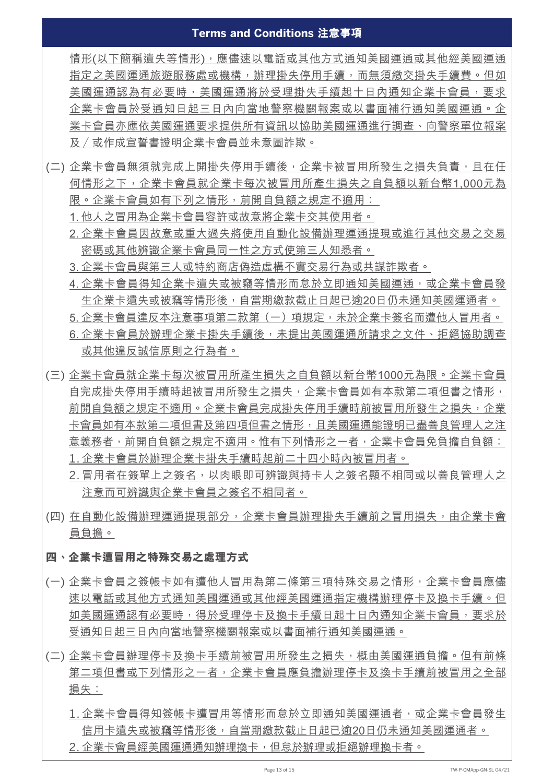情形(以下簡稱遺失等情形),應儘速以電話或其他方式通知美國運通或其他經美國運通 指定之美國運通旅遊服務處或機構,辦理掛失停用手續,而無須繳交掛失手續費。但如 美國運通認為有必要時,美國運通將於受理掛失手續起十日內通知企業卡會員,要求 企業卡會員於受通知日起三日內向當地警察機關報案或以書面補行通知美國運通。企 業卡會員亦應依美國運通要求提供所有資訊以協助美國運通進行調查、向警察單位報案 及 /或作成宣誓書證明企業卡會員並未意圖詐欺。

- (二) 企業卡會員無須就完成上開掛失停用手續後,企業卡被冒用所發生之損失負責,且在任 何情形之下,企業卡會員就企業卡每次被冒用所產生損失之自負額以新台幣1,000元為 限。企業卡會員如有下列之情形,前開自負額之規定不適用:
	- 1. 他人之冒用為企業卡會員容許或故意將企業卡交其使用者。
	- 2. 企業卡會員因故意或重大過失將使用自動化設備辦理運通提現或進行其他交易之交易 密碼或其他辨識企業卡會員同一性之方式使第三人知悉者。
	- 3. 企業卡會員與第三人或特約商店偽造虛構不實交易行為或共謀詐欺者。
	- 4. 企業卡會員得知企業卡遺失或被竊等情形而怠於立即通知美國運通, 或企業卡會員發 生企業卡潰失或被竊等情形後,自當期繳款截止日起已逾20日仍未通知美國運通者。 5. 企業卡會員違反本注意事項第二款第(一)項規定,未於企業卡簽名而遭他人冒用者。 6. 企業卡會員於辦理企業卡掛失手續後,未提出美國運通所請求之文件、拒絕協助調查 或其他違反誠信原則之行為者。
- (三) 企業卡會員就企業卡每次被冒用所產生損失之自負額以新台幣1000元為限。企業卡會員 自完成掛失停用手續時起被冒用所發生之損失,企業卡會員如有本款第二項但書之情形, 前開自負額之規定不適用。企業卡會員完成掛失停用手續時前被冒用所發生之損失,企業 卡會員如有本款第二項但書及第四項但書之情形,且美國運通能證明已盡善良管理人之注 意義務者,前開自負額之規定不適用。惟有下列情形之一者,企業卡會員免負擔自負額: 1. 企業卡會員於辦理企業卡掛失手續時起前二十四小時內被冒用者。
	- 2. 冒用者在簽單上之簽名, 以肉眼即可辨識與持卡人之簽名顯不相同或以善良管理人之 注意而可辨識與企業卡會員之簽名不相同者。
- (四) 在自動化設備辦理運通提現部分,企業卡會員辦理掛失手續前之冒用損失,由企業卡會 員負擔。

## **四、企業卡遭冒用之特殊交易之處理方式**

- (一) 企業卡會員之簽帳卡如有遭他人冒用為第二條第三項特殊交易之情形,企業卡會員應儘 速以電話或其他方式通知美國運動其他經美國運通指定機構辦理停卡及換卡手續。但 如美國運通認有必要時,得於受理停卡及換卡手續日起十日內通知企業卡會員,要求於 受通知日起三日內向當地警察機關報案或以書面補行通知美國運通。
- (二) 企業卡會員辦理停卡及換卡手續前被冒用所發生之損失,概由美國運通負擔。但有前條 第二項但書或下列情形之一者,企業卡會員應負擔辦理停卡及換卡手續前被冒用之全部 損失:
	- 1. 企業卡會員得知簽帳卡遭冒用等情形而怠於立即通知美國運通者, 或企業卡會員發生 信用卡遺失或被竊等情形後,自當期繳款截止日起已逾20日仍未通知美國運通者。 2. 企業卡會員經美國運通通知辦理換卡,但怠於辦理或拒絕辦理換卡者。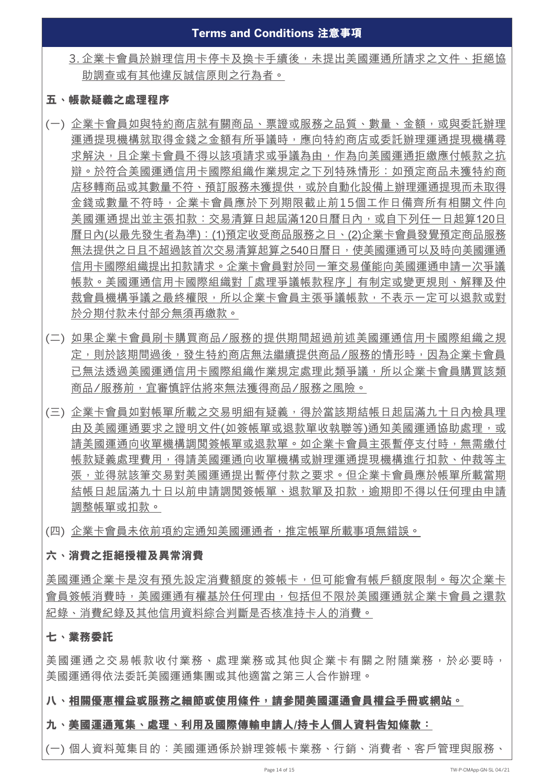3. 企業卡會員於辦理信用卡停卡及換卡手續後, 未提出美國運通所請求之文件、拒絕協 助調查或有其他違反誠信原則之行為者。

## **五、帳款疑義之處理程序**

- (一) 企業卡會員如與特約商店就有關商品、票證或服務之品質、數量、金額,或與委託辦理 運通提現機構就取得金錢之金額有所爭議時,應向特約商店或委託辦理運通提現機構尋 求解決,且企業卡會員不得以該項請求或爭議為由,作為向美國運通拒繳應付帳款之抗 辯。於符合美國運通信用卡國際組織作業規定之下列特殊情形:如預定商品未獲特約商 店移轉商品或其數量不符、預訂服務未獲提供,或於自動化設備上辦理運通提現而未取得 金錢或數量不符時,企業卡會員應於下列期限截止前15個工作日備齊所有相關文件向 美國運通提出並主張扣款:交易清算日起屆滿120日曆日內,或自下列任一日起算120日 曆日內(以最先發生者為準):(1)預定收受商品服務之日、(2)企業卡會員發覺預定商品服務 無法提供之日且不超過該首次交易清算起算之540日曆日,使美國運通可以及時向美國運通 信用卡國際組織提出扣款請求。企業卡會員對於同一筆交易僅能向美國運通申請一次爭議 帳款。美國運通信用卡國際組織對「處理爭議帳款程序」有制定或變更規則、解釋及仲 裁會員機構爭議之最終權限,所以企業卡會員主張爭議帳款,不表示一定可以退款或對 於分期付款未付部分無須再繳款。
- (二) 如果企業卡會員刷卡購買商品/服務的提供期間超過前述美國運通信用卡國際組織之規 定,則於該期間過後,發生特約商店無法繼續提供商品/服務的情形時,因為企業卡會員 已無法透過美國運通信用卡國際組織作業規定處理此類爭議,所以企業卡會員購買該類 商品/服務前,宜審慎評估將來無法獲得商品/服務之風險。
- (三) 企業卡會員如對帳單所載之交易明細有疑義,得於當該期結帳日起屆滿九十日內檢具理 由及美國運通要求之證明文件(如簽帳單或退款單收執聯等)通知美國運通協助處理,或 請美國運通向收單機構調閲簽帳單或退款單。如企業卡會員主張暫停支付時,無需繳付 帳款疑義處理費用,得請美國運通向收單機構或辦理運通提現機構進行扣款、仲裁等主 張,並得就該筆交易對美國運通提出暫停付款之要求。但企業卡會員應於帳單所載當期 結帳日起屆滿九十日以前申請調閲簽帳單、退款單及扣款,逾期即不得以任何理由申請 調整帳單或扣款。
- (四) 企業卡會員未依前項約定通知美國運通者,推定帳單所載事項無錯誤。

## **六、消費之拒絕授權及異常消費**

美國運通企業卡是沒有預先設定消費額度的簽帳卡,但可能會有帳戶額度限制。每次企業卡 會員簽帳消費時,美國運通有權基於任何理由,包括但不限於美國運通就企業卡會員之還款 紀錄、消費紀錄及其他信用資料綜合判斷是否核准持卡人的消費。

## **七、業務委託**

美國運通之交易帳款收付業務、處理業務或其他與企業卡有關之附隨業務,於必要時, 美國運通得依法委託美國運通集團或其他適當之第三人合作辦理。

## **八、相關優惠權益或服務之細節或使用條件,請參閱美國運通會員權益手冊或網站。**

## **九、美國運通蒐集、處理、利用及國際傳輸申請人/持卡人個人資料告知條款:**

(一) 個人資料蒐集目的:美國運通係於辦理簽帳卡業務、行銷、消費者、客戶管理與服務、